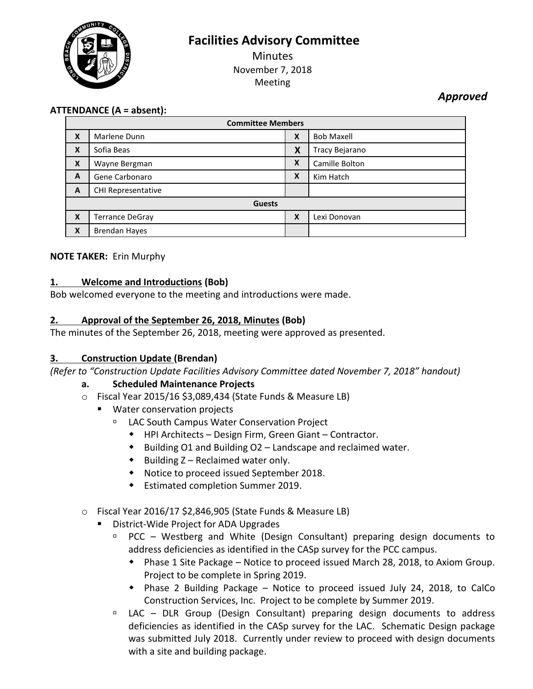**Facilities Advisory Committee**



**Minutes** November 7, 2018 Meeting

*Approved*

## **ATTENDANCE (A = absent):**

| <b>Committee Members</b> |                      |   |                   |
|--------------------------|----------------------|---|-------------------|
| X                        | Marlene Dunn         | X | <b>Bob Maxell</b> |
| X                        | Sofia Beas           | X | Tracy Bejarano    |
| X                        | Wayne Bergman        | X | Camille Bolton    |
| A                        | Gene Carbonaro       | X | Kim Hatch         |
| A                        | CHI Representative   |   |                   |
| <b>Guests</b>            |                      |   |                   |
| X                        | Terrance DeGray      | X | Lexi Donovan      |
| X                        | <b>Brendan Hayes</b> |   |                   |

### **NOTE TAKER:** Erin Murphy

## **1. Welcome and Introductions (Bob)**

Bob welcomed everyone to the meeting and introductions were made.

### **2. Approval of the September 26, 2018, Minutes (Bob)**

The minutes of the September 26, 2018, meeting were approved as presented.

### **3. Construction Update (Brendan)**

*(Refer to "Construction Update Facilities Advisory Committee dated November 7, 2018" handout)*

### **a. Scheduled Maintenance Projects**

- o Fiscal Year 2015/16 \$3,089,434 (State Funds & Measure LB)
	- **Water conservation projects** 
		- LAC South Campus Water Conservation Project
			- HPI Architects Design Firm, Green Giant Contractor.
			- Building O1 and Building O2 Landscape and reclaimed water.
			- $\bullet$  Building Z Reclaimed water only.
			- Notice to proceed issued September 2018.
			- Estimated completion Summer 2019.
- o Fiscal Year 2016/17 \$2,846,905 (State Funds & Measure LB)
	- District-Wide Project for ADA Upgrades
		- PCC Westberg and White (Design Consultant) preparing design documents to address deficiencies as identified in the CASp survey for the PCC campus.
			- Phase 1 Site Package Notice to proceed issued March 28, 2018, to Axiom Group. Project to be complete in Spring 2019.
			- Phase 2 Building Package Notice to proceed issued July 24, 2018, to CalCo Construction Services, Inc. Project to be complete by Summer 2019.
		- LAC DLR Group (Design Consultant) preparing design documents to address deficiencies as identified in the CASp survey for the LAC. Schematic Design package was submitted July 2018. Currently under review to proceed with design documents with a site and building package.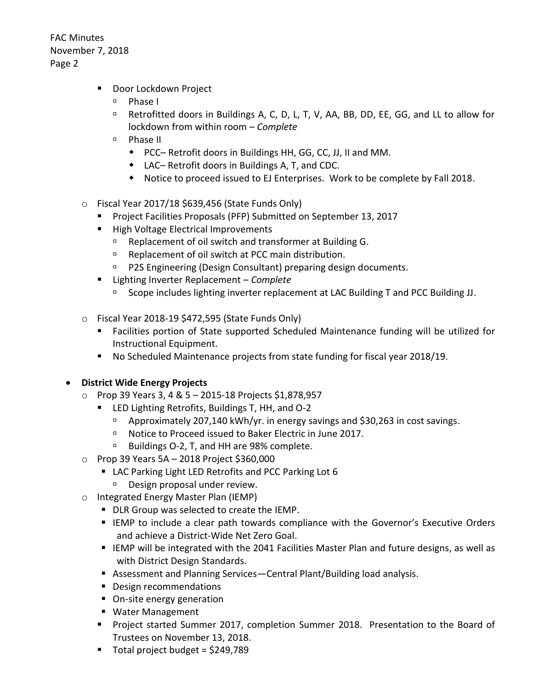- **Door Lockdown Project** 
	- <sup>D</sup> Phase I
	- □ Retrofitted doors in Buildings A, C, D, L, T, V, AA, BB, DD, EE, GG, and LL to allow for lockdown from within room – *Complete*
	- Phase II
		- PCC– Retrofit doors in Buildings HH, GG, CC, JJ, II and MM.
		- LAC– Retrofit doors in Buildings A, T, and CDC.
		- Notice to proceed issued to EJ Enterprises. Work to be complete by Fall 2018.
- $\circ$  Fiscal Year 2017/18 \$639,456 (State Funds Only)
	- **Project Facilities Proposals (PFP) Submitted on September 13, 2017**
	- **High Voltage Electrical Improvements** 
		- **BEP** Replacement of oil switch and transformer at Building G.
		- □ Replacement of oil switch at PCC main distribution.
		- **P2S Engineering (Design Consultant) preparing design documents.**
	- Lighting Inverter Replacement *Complete* 
		- Scope includes lighting inverter replacement at LAC Building T and PCC Building JJ.
- $\circ$  Fiscal Year 2018-19 \$472,595 (State Funds Only)
	- Facilities portion of State supported Scheduled Maintenance funding will be utilized for Instructional Equipment.
	- No Scheduled Maintenance projects from state funding for fiscal year 2018/19.

# **District Wide Energy Projects**

- o Prop 39 Years 3, 4 & 5 2015-18 Projects \$1,878,957
	- **EXTED Lighting Retrofits, Buildings T, HH, and O-2** 
		- □ Approximately 207,140 kWh/yr. in energy savings and \$30,263 in cost savings.
		- □ Notice to Proceed issued to Baker Electric in June 2017.
		- □ Buildings O-2, T, and HH are 98% complete.
- o Prop 39 Years 5A 2018 Project \$360,000
	- LAC Parking Light LED Retrofits and PCC Parking Lot 6
		- Design proposal under review.
- o Integrated Energy Master Plan (IEMP)
	- **DLR Group was selected to create the IEMP.**
	- **IEMP to include a clear path towards compliance with the Governor's Executive Orders** and achieve a District-Wide Net Zero Goal.
	- **IEMP** will be integrated with the 2041 Facilities Master Plan and future designs, as well as with District Design Standards.
	- Assessment and Planning Services—Central Plant/Building load analysis.
	- **Design recommendations**
	- On-site energy generation
	- **Water Management**
	- Project started Summer 2017, completion Summer 2018. Presentation to the Board of Trustees on November 13, 2018.
	- $\blacksquare$  Total project budget = \$249,789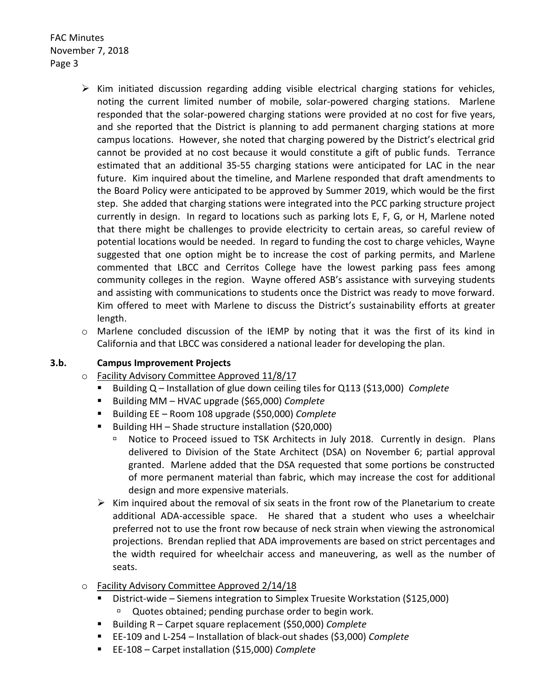- $\triangleright$  Kim initiated discussion regarding adding visible electrical charging stations for vehicles, noting the current limited number of mobile, solar-powered charging stations. Marlene responded that the solar-powered charging stations were provided at no cost for five years, and she reported that the District is planning to add permanent charging stations at more campus locations. However, she noted that charging powered by the District's electrical grid cannot be provided at no cost because it would constitute a gift of public funds. Terrance estimated that an additional 35-55 charging stations were anticipated for LAC in the near future. Kim inquired about the timeline, and Marlene responded that draft amendments to the Board Policy were anticipated to be approved by Summer 2019, which would be the first step. She added that charging stations were integrated into the PCC parking structure project currently in design. In regard to locations such as parking lots E, F, G, or H, Marlene noted that there might be challenges to provide electricity to certain areas, so careful review of potential locations would be needed. In regard to funding the cost to charge vehicles, Wayne suggested that one option might be to increase the cost of parking permits, and Marlene commented that LBCC and Cerritos College have the lowest parking pass fees among community colleges in the region. Wayne offered ASB's assistance with surveying students and assisting with communications to students once the District was ready to move forward. Kim offered to meet with Marlene to discuss the District's sustainability efforts at greater length.
- $\circ$  Marlene concluded discussion of the IEMP by noting that it was the first of its kind in California and that LBCC was considered a national leader for developing the plan.

#### **3.b. Campus Improvement Projects**

- o Facility Advisory Committee Approved 11/8/17
	- Building Q Installation of glue down ceiling tiles for Q113 (\$13,000) *Complete*
	- Building MM HVAC upgrade (\$65,000) *Complete*
	- Building EE Room 108 upgrade (\$50,000) *Complete*
	- Building HH Shade structure installation (\$20,000)
		- Notice to Proceed issued to TSK Architects in July 2018. Currently in design. Plans delivered to Division of the State Architect (DSA) on November 6; partial approval granted. Marlene added that the DSA requested that some portions be constructed of more permanent material than fabric, which may increase the cost for additional design and more expensive materials.
	- $\triangleright$  Kim inquired about the removal of six seats in the front row of the Planetarium to create additional ADA-accessible space. He shared that a student who uses a wheelchair preferred not to use the front row because of neck strain when viewing the astronomical projections. Brendan replied that ADA improvements are based on strict percentages and the width required for wheelchair access and maneuvering, as well as the number of seats.
- o Facility Advisory Committee Approved 2/14/18
	- District-wide Siemens integration to Simplex Truesite Workstation (\$125,000) <sup>n</sup> Quotes obtained; pending purchase order to begin work.
	- Building R Carpet square replacement (\$50,000) *Complete*
	- EE-109 and L-254 Installation of black-out shades (\$3,000) *Complete*
	- EE-108 Carpet installation (\$15,000) *Complete*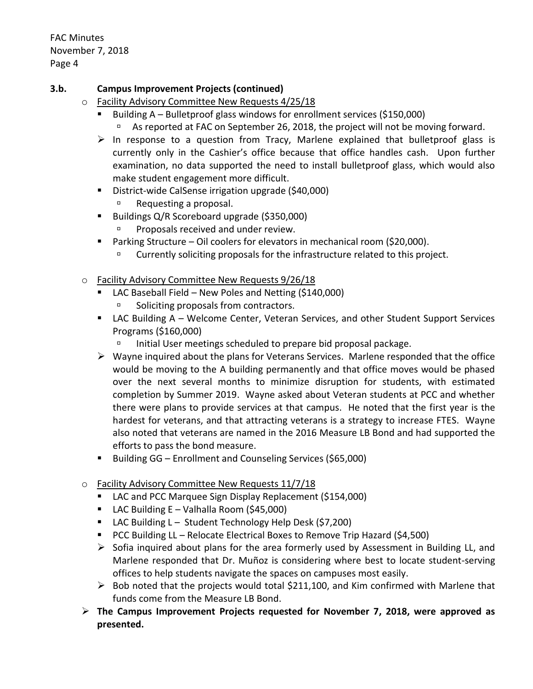### **3.b. Campus Improvement Projects (continued)**

- o Facility Advisory Committee New Requests 4/25/18
	- Building A Bulletproof glass windows for enrollment services (\$150,000) As reported at FAC on September 26, 2018, the project will not be moving forward.
	- $\triangleright$  In response to a question from Tracy, Marlene explained that bulletproof glass is currently only in the Cashier's office because that office handles cash. Upon further examination, no data supported the need to install bulletproof glass, which would also make student engagement more difficult.
	- District-wide CalSense irrigation upgrade (\$40,000)
		- **EXECUTE:** Requesting a proposal.
	- Buildings Q/R Scoreboard upgrade (\$350,000)
		- Proposals received and under review.
	- Parking Structure Oil coolers for elevators in mechanical room (\$20,000).
		- Currently soliciting proposals for the infrastructure related to this project.
- o Facility Advisory Committee New Requests 9/26/18
	- LAC Baseball Field New Poles and Netting (\$140,000)
		- Soliciting proposals from contractors.
	- LAC Building A Welcome Center, Veteran Services, and other Student Support Services Programs (\$160,000)
		- Initial User meetings scheduled to prepare bid proposal package.
	- $\triangleright$  Wayne inquired about the plans for Veterans Services. Marlene responded that the office would be moving to the A building permanently and that office moves would be phased over the next several months to minimize disruption for students, with estimated completion by Summer 2019. Wayne asked about Veteran students at PCC and whether there were plans to provide services at that campus. He noted that the first year is the hardest for veterans, and that attracting veterans is a strategy to increase FTES. Wayne also noted that veterans are named in the 2016 Measure LB Bond and had supported the efforts to pass the bond measure.
	- Building GG Enrollment and Counseling Services (\$65,000)
- o Facility Advisory Committee New Requests 11/7/18
	- LAC and PCC Marquee Sign Display Replacement (\$154,000)
	- **LAC Building E Valhalla Room (\$45,000)**
	- LAC Building L Student Technology Help Desk (\$7,200)
	- PCC Building LL Relocate Electrical Boxes to Remove Trip Hazard (\$4,500)
	- $\triangleright$  Sofia inquired about plans for the area formerly used by Assessment in Building LL, and Marlene responded that Dr. Muñoz is considering where best to locate student-serving offices to help students navigate the spaces on campuses most easily.
	- $\triangleright$  Bob noted that the projects would total \$211,100, and Kim confirmed with Marlene that funds come from the Measure LB Bond.
- **The Campus Improvement Projects requested for November 7, 2018, were approved as presented.**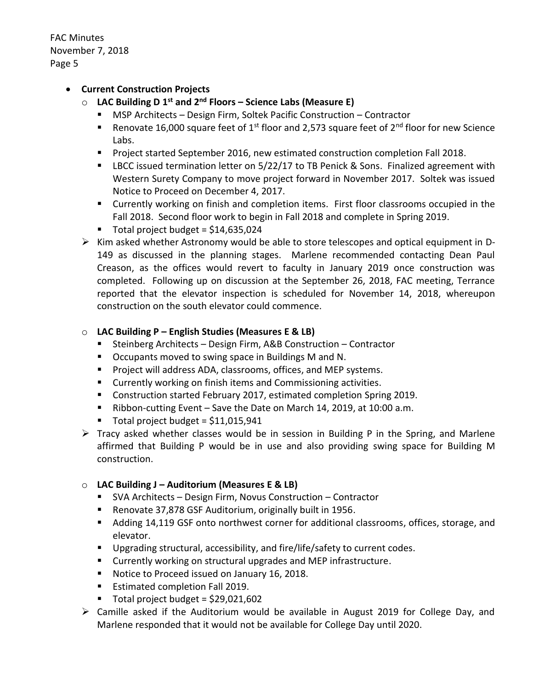### **Current Construction Projects**

- o **LAC Building D 1 st and 2nd Floors – Science Labs (Measure E)**
	- MSP Architects Design Firm, Soltek Pacific Construction Contractor
	- **Renovate 16,000 square feet of 1st floor and 2,573 square feet of 2<sup>nd</sup> floor for new Science** Labs.
	- **Project started September 2016, new estimated construction completion Fall 2018.**
	- **EXEC 2.5 IDCC issued termination letter on 5/22/17 to TB Penick & Sons. Finalized agreement with** Western Surety Company to move project forward in November 2017. Soltek was issued Notice to Proceed on December 4, 2017.
	- Currently working on finish and completion items. First floor classrooms occupied in the Fall 2018. Second floor work to begin in Fall 2018 and complete in Spring 2019.
	- Total project budget =  $$14,635,024$
- $\triangleright$  Kim asked whether Astronomy would be able to store telescopes and optical equipment in D-149 as discussed in the planning stages. Marlene recommended contacting Dean Paul Creason, as the offices would revert to faculty in January 2019 once construction was completed. Following up on discussion at the September 26, 2018, FAC meeting, Terrance reported that the elevator inspection is scheduled for November 14, 2018, whereupon construction on the south elevator could commence.

#### o **LAC Building P – English Studies (Measures E & LB)**

- Steinberg Architects Design Firm, A&B Construction Contractor
- Occupants moved to swing space in Buildings M and N.
- **Project will address ADA, classrooms, offices, and MEP systems.**
- **EXECUTE:** Currently working on finish items and Commissioning activities.
- **Construction started February 2017, estimated completion Spring 2019.**
- Ribbon-cutting Event Save the Date on March 14, 2019, at 10:00 a.m.
- $\blacksquare$  Total project budget = \$11,015,941
- $\triangleright$  Tracy asked whether classes would be in session in Building P in the Spring, and Marlene affirmed that Building P would be in use and also providing swing space for Building M construction.

#### o **LAC Building J – Auditorium (Measures E & LB)**

- SVA Architects Design Firm, Novus Construction Contractor
- Renovate 37,878 GSF Auditorium, originally built in 1956.
- Adding 14,119 GSF onto northwest corner for additional classrooms, offices, storage, and elevator.
- **Upgrading structural, accessibility, and fire/life/safety to current codes.**
- Currently working on structural upgrades and MEP infrastructure.
- Notice to Proceed issued on January 16, 2018.
- **Estimated completion Fall 2019.**
- $\blacksquare$  Total project budget = \$29,021,602
- Camille asked if the Auditorium would be available in August 2019 for College Day, and Marlene responded that it would not be available for College Day until 2020.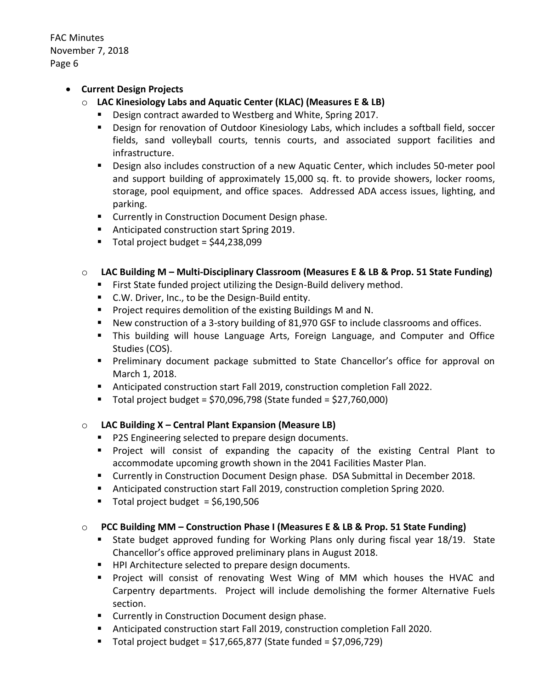#### **Current Design Projects**

- o **LAC Kinesiology Labs and Aquatic Center (KLAC) (Measures E & LB)**
	- Design contract awarded to Westberg and White, Spring 2017.
	- Design for renovation of Outdoor Kinesiology Labs, which includes a softball field, soccer fields, sand volleyball courts, tennis courts, and associated support facilities and infrastructure.
	- Design also includes construction of a new Aquatic Center, which includes 50-meter pool and support building of approximately 15,000 sq. ft. to provide showers, locker rooms, storage, pool equipment, and office spaces. Addressed ADA access issues, lighting, and parking.
	- **EXECUTE:** Currently in Construction Document Design phase.
	- Anticipated construction start Spring 2019.
	- $\blacksquare$  Total project budget = \$44,238,099

## o **LAC Building M – Multi-Disciplinary Classroom (Measures E & LB & Prop. 51 State Funding)**

- **First State funded project utilizing the Design-Build delivery method.**
- C.W. Driver, Inc., to be the Design-Build entity.
- **Project requires demolition of the existing Buildings M and N.**
- New construction of a 3-story building of 81,970 GSF to include classrooms and offices.
- This building will house Language Arts, Foreign Language, and Computer and Office Studies (COS).
- **Preliminary document package submitted to State Chancellor's office for approval on** March 1, 2018.
- Anticipated construction start Fall 2019, construction completion Fall 2022.
- $\blacksquare$  Total project budget = \$70,096,798 (State funded = \$27,760,000)

### o **LAC Building X – Central Plant Expansion (Measure LB)**

- **P2S Engineering selected to prepare design documents.**
- Project will consist of expanding the capacity of the existing Central Plant to accommodate upcoming growth shown in the 2041 Facilities Master Plan.
- Currently in Construction Document Design phase. DSA Submittal in December 2018.
- Anticipated construction start Fall 2019, construction completion Spring 2020.
- Total project budget =  $$6,190,506$

### o **PCC Building MM – Construction Phase I (Measures E & LB & Prop. 51 State Funding)**

- State budget approved funding for Working Plans only during fiscal year 18/19. State Chancellor's office approved preliminary plans in August 2018.
- HPI Architecture selected to prepare design documents.
- **Project will consist of renovating West Wing of MM which houses the HVAC and** Carpentry departments. Project will include demolishing the former Alternative Fuels section.
- **E** Currently in Construction Document design phase.
- Anticipated construction start Fall 2019, construction completion Fall 2020.
- Total project budget = \$17,665,877 (State funded = \$7,096,729)